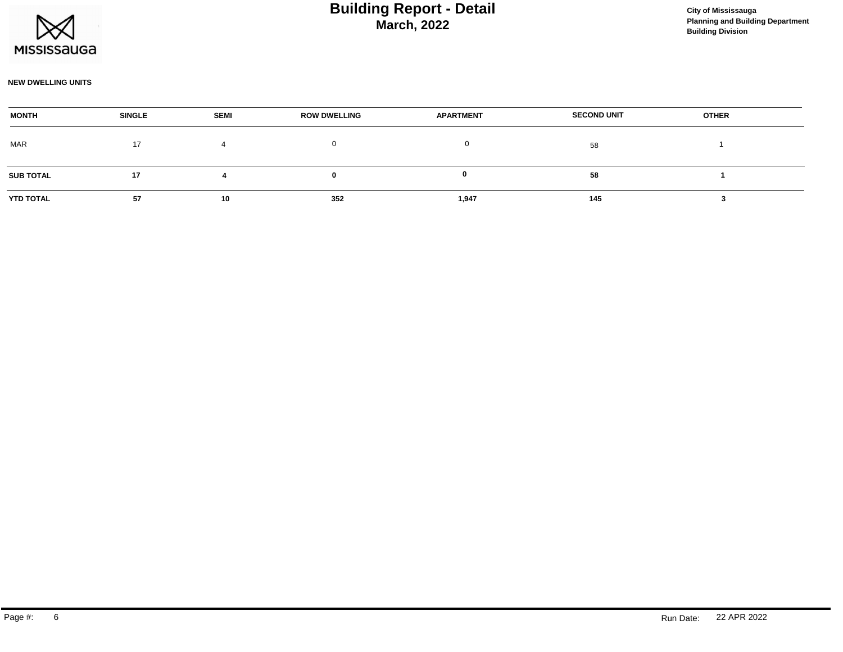

# **March, 2022 Building Report - Detail Construction Construction City of Mississauga**

#### **NEW DWELLING UNITS**

| <b>MONTH</b>     | <b>SINGLE</b> | <b>SEMI</b> | <b>ROW DWELLING</b> | <b>APARTMENT</b> | <b>SECOND UNIT</b> | <b>OTHER</b> |  |
|------------------|---------------|-------------|---------------------|------------------|--------------------|--------------|--|
| <b>MAR</b>       | 17            |             |                     |                  | 58                 |              |  |
| <b>SUB TOTAL</b> | 17            |             |                     |                  | 58                 |              |  |
| YTD TOTAL        | 57            | 10          | 352                 | 1,947            | 145                |              |  |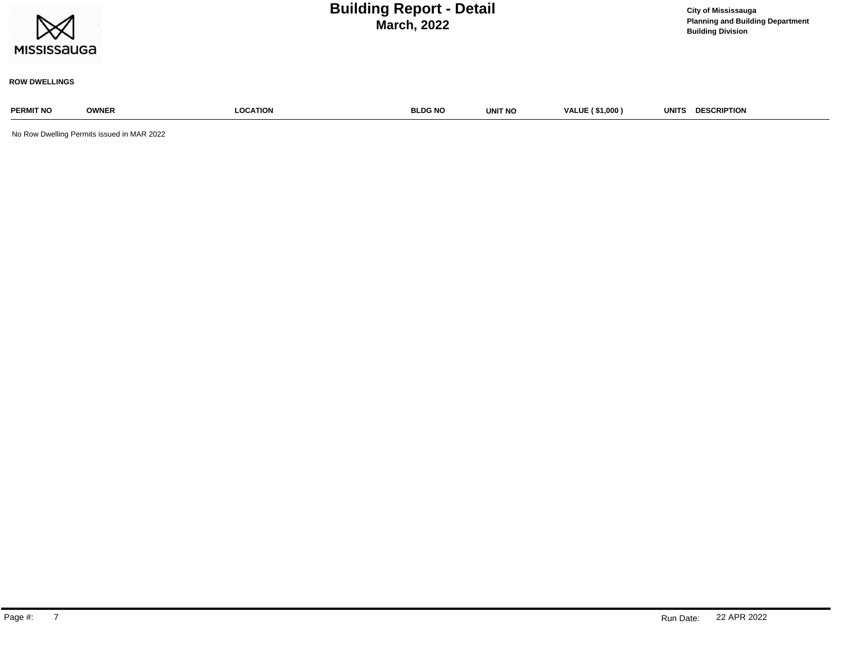| <b>MISSISSAUGA</b>   | <b>City of Mississauga</b><br><b>Planning and Building Department</b><br><b>Building Division</b> |                 |                |         |                        |                                    |
|----------------------|---------------------------------------------------------------------------------------------------|-----------------|----------------|---------|------------------------|------------------------------------|
| <b>ROW DWELLINGS</b> |                                                                                                   |                 |                |         |                        |                                    |
| <b>PERMIT NO</b>     | <b>OWNER</b>                                                                                      | <b>LOCATION</b> | <b>BLDG NO</b> | UNIT NO | <b>VALUE (\$1,000)</b> | <b>DESCRIPTION</b><br><b>UNITS</b> |
|                      | No Row Dwelling Permits issued in MAR 2022                                                        |                 |                |         |                        |                                    |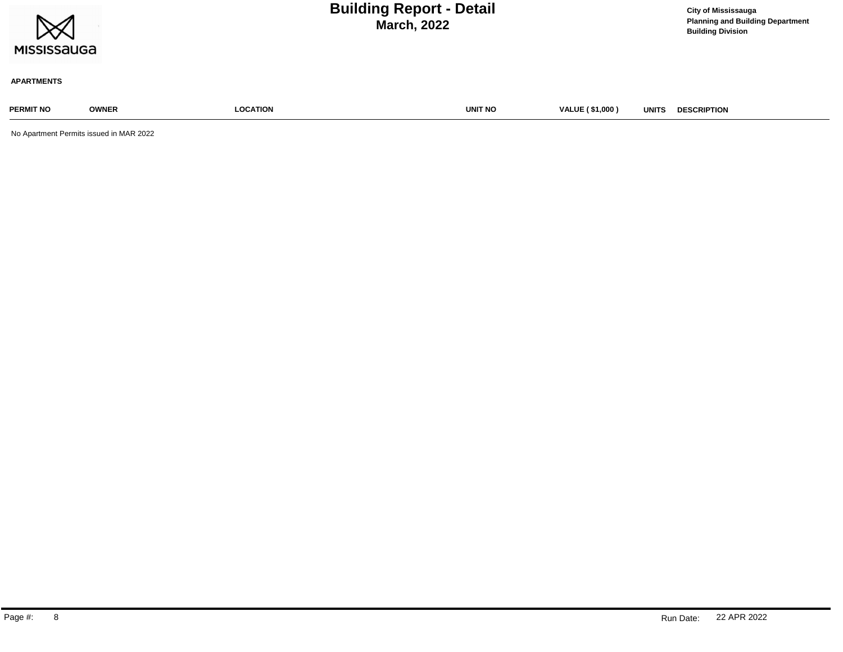| $\bowtie$<br><b>MISSISSAUGA</b> |              |                 | <b>Building Report - Detail</b><br><b>March, 2022</b> |                        |              | <b>City of Mississauga</b><br><b>Planning and Building Department</b><br><b>Building Division</b> |
|---------------------------------|--------------|-----------------|-------------------------------------------------------|------------------------|--------------|---------------------------------------------------------------------------------------------------|
| <b>APARTMENTS</b>               |              |                 |                                                       |                        |              |                                                                                                   |
| <b>PERMIT NO</b>                | <b>OWNER</b> | <b>LOCATION</b> | <b>UNIT NO</b>                                        | <b>VALUE (\$1,000)</b> | <b>UNITS</b> | <b>DESCRIPTION</b>                                                                                |

No Apartment Permits issued in MAR 2022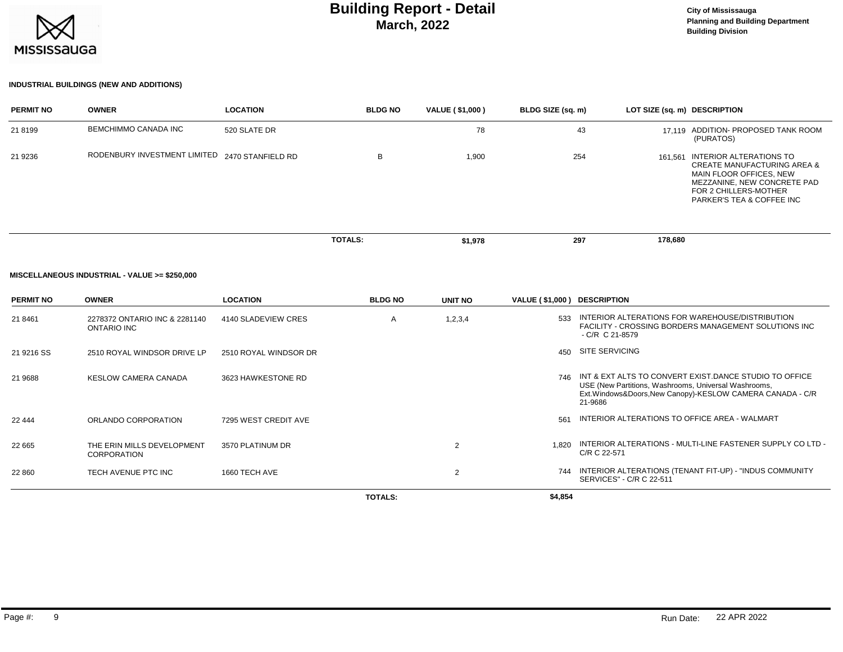

# **March, 2022 Building Report - Detail City of Mississauga**

### **INDUSTRIAL BUILDINGS (NEW AND ADDITIONS)**

| <b>PERMIT NO</b> | <b>OWNER</b>                                   | <b>LOCATION</b> | <b>BLDG NO</b> | VALUE (\$1,000) | BLDG SIZE (sq. m) | LOT SIZE (sq. m) DESCRIPTION |                                                                                                                                                                                   |
|------------------|------------------------------------------------|-----------------|----------------|-----------------|-------------------|------------------------------|-----------------------------------------------------------------------------------------------------------------------------------------------------------------------------------|
| 21 8199          | <b>BEMCHIMMO CANADA INC</b>                    | 520 SLATE DR    |                | 78              | 43                |                              | 17.119 ADDITION- PROPOSED TANK ROOM<br>(PURATOS)                                                                                                                                  |
| 21 9236          | RODENBURY INVESTMENT LIMITED 2470 STANFIELD RD |                 | B              | 1,900           | 254               | 161.561                      | INTERIOR ALTERATIONS TO<br><b>CREATE MANUFACTURING AREA &amp;</b><br>MAIN FLOOR OFFICES, NEW<br>MEZZANINE, NEW CONCRETE PAD<br>FOR 2 CHILLERS-MOTHER<br>PARKER'S TEA & COFFEE INC |
|                  |                                                |                 | <b>TOTALS:</b> | \$1,978         | 297               | 178,680                      |                                                                                                                                                                                   |

#### **MISCELLANEOUS INDUSTRIAL - VALUE >= \$250,000**

| <b>PERMIT NO</b> | <b>OWNER</b>                                     | <b>LOCATION</b>       | <b>BLDG NO</b> | UNIT NO | VALUE (\$1,000) DESCRIPTION |                                                                                                                                                                                           |
|------------------|--------------------------------------------------|-----------------------|----------------|---------|-----------------------------|-------------------------------------------------------------------------------------------------------------------------------------------------------------------------------------------|
| 21 8461          | 2278372 ONTARIO INC & 2281140<br>ONTARIO INC     | 4140 SLADEVIEW CRES   | A              | 1,2,3,4 | 533                         | INTERIOR ALTERATIONS FOR WAREHOUSE/DISTRIBUTION<br>FACILITY - CROSSING BORDERS MANAGEMENT SOLUTIONS INC<br>$-C/R$ C 21-8579                                                               |
| 21 9216 SS       | 2510 ROYAL WINDSOR DRIVE LP                      | 2510 ROYAL WINDSOR DR |                |         | 450                         | <b>SITE SERVICING</b>                                                                                                                                                                     |
| 21 9688          | <b>KESLOW CAMERA CANADA</b>                      | 3623 HAWKESTONE RD    |                |         | 746                         | INT & EXT ALTS TO CONVERT EXIST DANCE STUDIO TO OFFICE<br>USE (New Partitions, Washrooms, Universal Washrooms,<br>Ext. Windows & Doors, New Canopy)-KESLOW CAMERA CANADA - C/R<br>21-9686 |
| 22 444           | ORLANDO CORPORATION                              | 7295 WEST CREDIT AVE  |                |         | 561                         | INTERIOR ALTERATIONS TO OFFICE AREA - WALMART                                                                                                                                             |
| 22 665           | THE ERIN MILLS DEVELOPMENT<br><b>CORPORATION</b> | 3570 PLATINUM DR      |                | 2       | 1.820                       | INTERIOR ALTERATIONS - MULTI-LINE FASTENER SUPPLY CO LTD -<br>C/R C 22-571                                                                                                                |
| 22 860           | TECH AVENUE PTC INC                              | 1660 TECH AVE         |                | 2       | 744                         | INTERIOR ALTERATIONS (TENANT FIT-UP) - "INDUS COMMUNITY<br>SERVICES" - C/R C 22-511                                                                                                       |
|                  |                                                  |                       | <b>TOTALS:</b> |         | \$4,854                     |                                                                                                                                                                                           |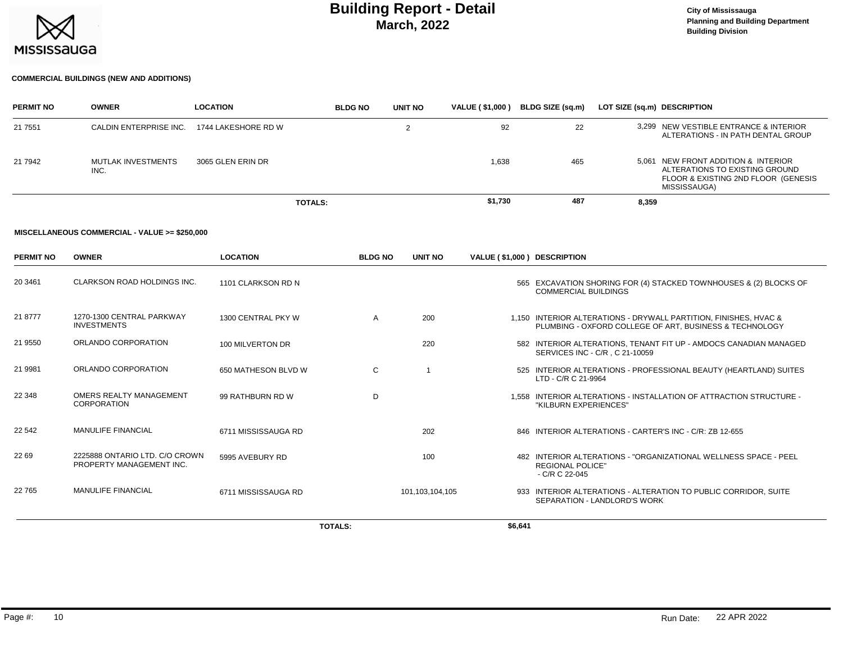

# **March, 2022 Building Report - Detail City of Mississauga**

#### **COMMERCIAL BUILDINGS (NEW AND ADDITIONS)**

| <b>PERMIT NO</b> | <b>OWNER</b>               | <b>LOCATION</b>     | <b>BLDG NO</b> | <b>UNIT NO</b> | <b>VALUE (\$1,000)</b> | BLDG SIZE (sq.m) | LOT SIZE (sq.m) DESCRIPTION                                                                                                  |  |
|------------------|----------------------------|---------------------|----------------|----------------|------------------------|------------------|------------------------------------------------------------------------------------------------------------------------------|--|
| 21 7551          | CALDIN ENTERPRISE INC.     | 1744 LAKESHORE RD W |                |                | 92                     | 22               | 3.299 NEW VESTIBLE ENTRANCE & INTERIOR<br>ALTERATIONS - IN PATH DENTAL GROUP                                                 |  |
| 21 7942          | MUTLAK INVESTMENTS<br>INC. | 3065 GLEN ERIN DR   |                |                | 1,638                  | 465              | 5,061 NEW FRONT ADDITION & INTERIOR<br>ALTERATIONS TO EXISTING GROUND<br>FLOOR & EXISTING 2ND FLOOR (GENESIS<br>MISSISSAUGA) |  |
|                  |                            |                     | <b>TOTALS:</b> |                | \$1,730                | 487              | 8,359                                                                                                                        |  |

#### **MISCELLANEOUS COMMERCIAL - VALUE >= \$250,000**

| <b>PERMIT NO</b> | <b>OWNER</b>                                               | <b>LOCATION</b>     | <b>BLDG NO</b> | <b>UNIT NO</b>  | VALUE (\$1,000) DESCRIPTION |                                                                                                                             |
|------------------|------------------------------------------------------------|---------------------|----------------|-----------------|-----------------------------|-----------------------------------------------------------------------------------------------------------------------------|
| 20 34 61         | CLARKSON ROAD HOLDINGS INC.                                | 1101 CLARKSON RD N  |                |                 |                             | 565 EXCAVATION SHORING FOR (4) STACKED TOWNHOUSES & (2) BLOCKS OF<br><b>COMMERCIAL BUILDINGS</b>                            |
| 21 8777          | 1270-1300 CENTRAL PARKWAY<br><b>INVESTMENTS</b>            | 1300 CENTRAL PKY W  | A              | 200             |                             | 1.150 INTERIOR ALTERATIONS - DRYWALL PARTITION, FINISHES, HVAC &<br>PLUMBING - OXFORD COLLEGE OF ART, BUSINESS & TECHNOLOGY |
| 21 9550          | ORLANDO CORPORATION                                        | 100 MILVERTON DR    |                | 220             |                             | 582 INTERIOR ALTERATIONS, TENANT FIT UP - AMDOCS CANADIAN MANAGED<br>SERVICES INC - C/R, C 21-10059                         |
| 21 9981          | ORLANDO CORPORATION                                        | 650 MATHESON BLVD W | C              |                 |                             | 525 INTERIOR ALTERATIONS - PROFESSIONAL BEAUTY (HEARTLAND) SUITES<br>LTD - C/R C 21-9964                                    |
| 22 348           | OMERS REALTY MANAGEMENT<br>CORPORATION                     | 99 RATHBURN RD W    | D              |                 |                             | 1.558 INTERIOR ALTERATIONS - INSTALLATION OF ATTRACTION STRUCTURE -<br>"KILBURN EXPERIENCES"                                |
| 22 542           | <b>MANULIFE FINANCIAL</b>                                  | 6711 MISSISSAUGA RD |                | 202             |                             | 846 INTERIOR ALTERATIONS - CARTER'S INC - C/R: ZB 12-655                                                                    |
| 22 69            | 2225888 ONTARIO LTD. C/O CROWN<br>PROPERTY MANAGEMENT INC. | 5995 AVEBURY RD     |                | 100             |                             | 482 INTERIOR ALTERATIONS - "ORGANIZATIONAL WELLNESS SPACE - PEEL<br><b>REGIONAL POLICE"</b><br>- C/R C 22-045               |
| 22 765           | <b>MANULIFE FINANCIAL</b>                                  | 6711 MISSISSAUGA RD |                | 101,103,104,105 |                             | 933 INTERIOR ALTERATIONS - ALTERATION TO PUBLIC CORRIDOR, SUITE<br><b>SEPARATION - LANDLORD'S WORK</b>                      |
|                  |                                                            |                     | <b>TOTALS:</b> |                 | \$6,641                     |                                                                                                                             |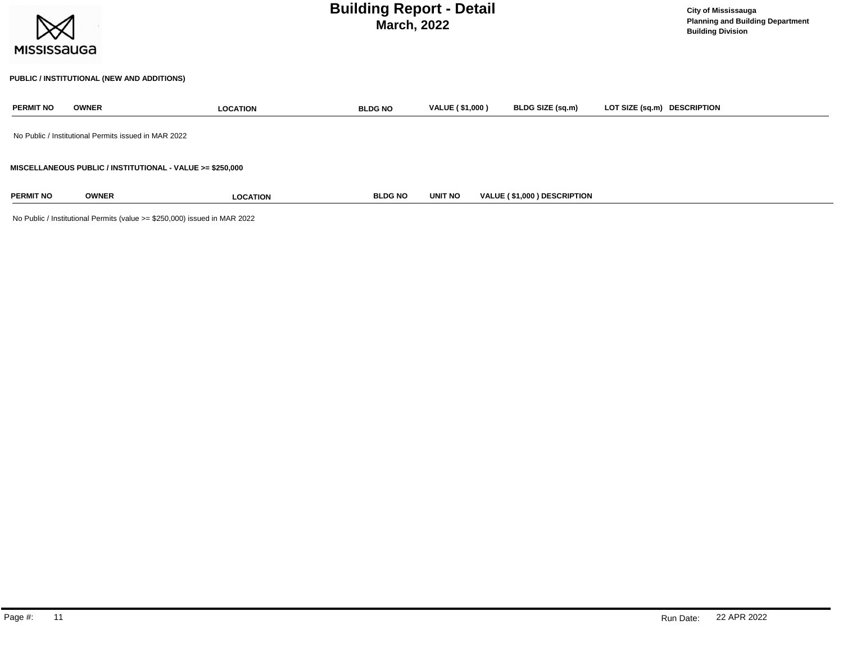| <b>MISSISSAUGA</b> |                                                      |                                                           | <b>Building Report - Detail</b><br><b>March, 2022</b> |                        |                             | <b>City of Mississauga</b><br><b>Planning and Building Department</b><br><b>Building Division</b> |  |
|--------------------|------------------------------------------------------|-----------------------------------------------------------|-------------------------------------------------------|------------------------|-----------------------------|---------------------------------------------------------------------------------------------------|--|
|                    | PUBLIC / INSTITUTIONAL (NEW AND ADDITIONS)           |                                                           |                                                       |                        |                             |                                                                                                   |  |
| <b>PERMIT NO</b>   | <b>OWNER</b>                                         | <b>LOCATION</b>                                           | <b>BLDG NO</b>                                        | <b>VALUE (\$1,000)</b> | BLDG SIZE (sq.m)            | LOT SIZE (sq.m) DESCRIPTION                                                                       |  |
|                    | No Public / Institutional Permits issued in MAR 2022 |                                                           |                                                       |                        |                             |                                                                                                   |  |
|                    |                                                      | MISCELLANEOUS PUBLIC / INSTITUTIONAL - VALUE >= \$250,000 |                                                       |                        |                             |                                                                                                   |  |
| <b>PERMIT NO</b>   | <b>OWNER</b>                                         | <b>LOCATION</b>                                           | <b>BLDG NO</b>                                        | UNIT NO                | VALUE (\$1,000) DESCRIPTION |                                                                                                   |  |

No Public / Institutional Permits (value >= \$250,000) issued in MAR 2022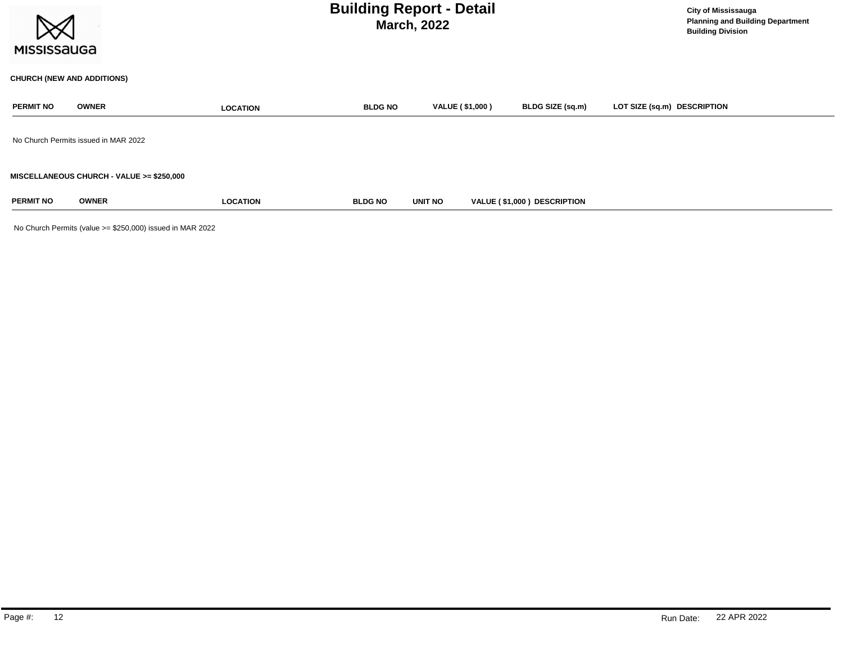| <b>MISSISSAUGA</b> |                                           |                 | <b>Building Report - Detail</b><br><b>March, 2022</b> |                        | <b>City of Mississauga</b><br><b>Planning and Building Department</b><br><b>Building Division</b> |                             |
|--------------------|-------------------------------------------|-----------------|-------------------------------------------------------|------------------------|---------------------------------------------------------------------------------------------------|-----------------------------|
|                    | <b>CHURCH (NEW AND ADDITIONS)</b>         |                 |                                                       |                        |                                                                                                   |                             |
| <b>PERMIT NO</b>   | <b>OWNER</b>                              | <b>LOCATION</b> | <b>BLDG NO</b>                                        | <b>VALUE (\$1,000)</b> | BLDG SIZE (sq.m)                                                                                  | LOT SIZE (sq.m) DESCRIPTION |
|                    | No Church Permits issued in MAR 2022      |                 |                                                       |                        |                                                                                                   |                             |
|                    | MISCELLANEOUS CHURCH - VALUE >= \$250,000 |                 |                                                       |                        |                                                                                                   |                             |
| <b>PERMIT NO</b>   | <b>OWNER</b>                              | <b>LOCATION</b> | <b>BLDG NO</b>                                        | <b>UNIT NO</b>         | VALUE (\$1,000) DESCRIPTION                                                                       |                             |

No Church Permits (value >= \$250,000) issued in MAR 2022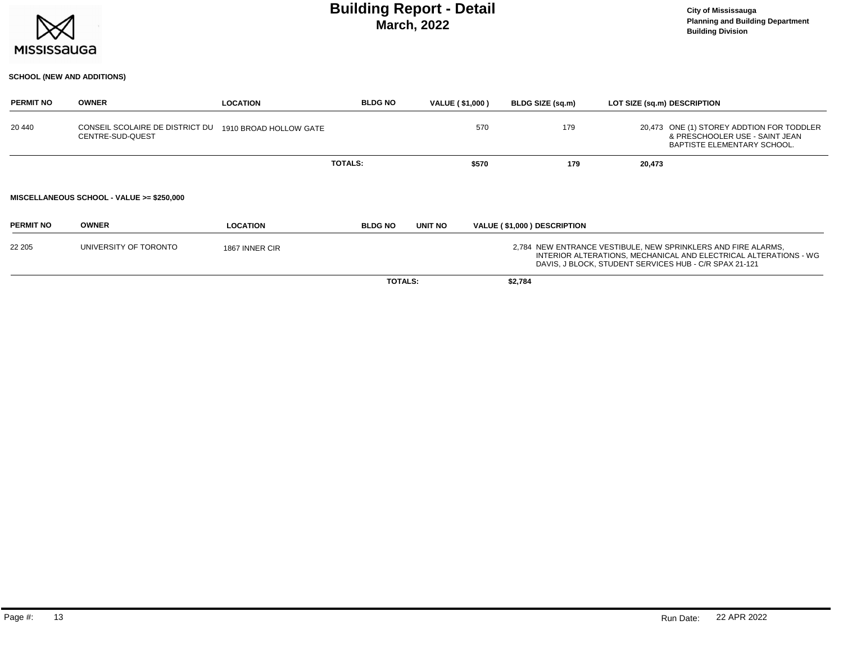

### **March, 2022 Building Report - Detail Construction Construction City of Mississauga**

### **SCHOOL (NEW AND ADDITIONS)**

| <b>PERMIT NO</b> | <b>OWNER</b>                                        | <b>LOCATION</b>        | <b>BLDG NO</b> | <b>VALUE (\$1,000)</b> |       | BLDG SIZE (sq.m)            |        | LOT SIZE (sq.m) DESCRIPTION                                                                                                                                                                 |
|------------------|-----------------------------------------------------|------------------------|----------------|------------------------|-------|-----------------------------|--------|---------------------------------------------------------------------------------------------------------------------------------------------------------------------------------------------|
| 20 440           | CONSEIL SCOLAIRE DE DISTRICT DU<br>CENTRE-SUD-QUEST | 1910 BROAD HOLLOW GATE |                |                        | 570   | 179                         |        | 20,473 ONE (1) STOREY ADDTION FOR TODDLER<br>& PRESCHOOLER USE - SAINT JEAN<br>BAPTISTE ELEMENTARY SCHOOL.                                                                                  |
|                  |                                                     |                        | <b>TOTALS:</b> |                        | \$570 | 179                         | 20,473 |                                                                                                                                                                                             |
|                  | MISCELLANEOUS SCHOOL - VALUE >= \$250,000           |                        |                |                        |       |                             |        |                                                                                                                                                                                             |
| <b>PERMIT NO</b> | <b>OWNER</b>                                        | <b>LOCATION</b>        | <b>BLDG NO</b> | UNIT NO                |       | VALUE (\$1,000) DESCRIPTION |        |                                                                                                                                                                                             |
| 22 205           | UNIVERSITY OF TORONTO                               | 1867 INNER CIR         |                |                        |       |                             |        | 2,784 NEW ENTRANCE VESTIBULE, NEW SPRINKLERS AND FIRE ALARMS,<br>INTERIOR ALTERATIONS, MECHANICAL AND ELECTRICAL ALTERATIONS - WG<br>DAVIS, J BLOCK, STUDENT SERVICES HUB - C/R SPAX 21-121 |
|                  |                                                     |                        | <b>TOTALS:</b> |                        |       | \$2,784                     |        |                                                                                                                                                                                             |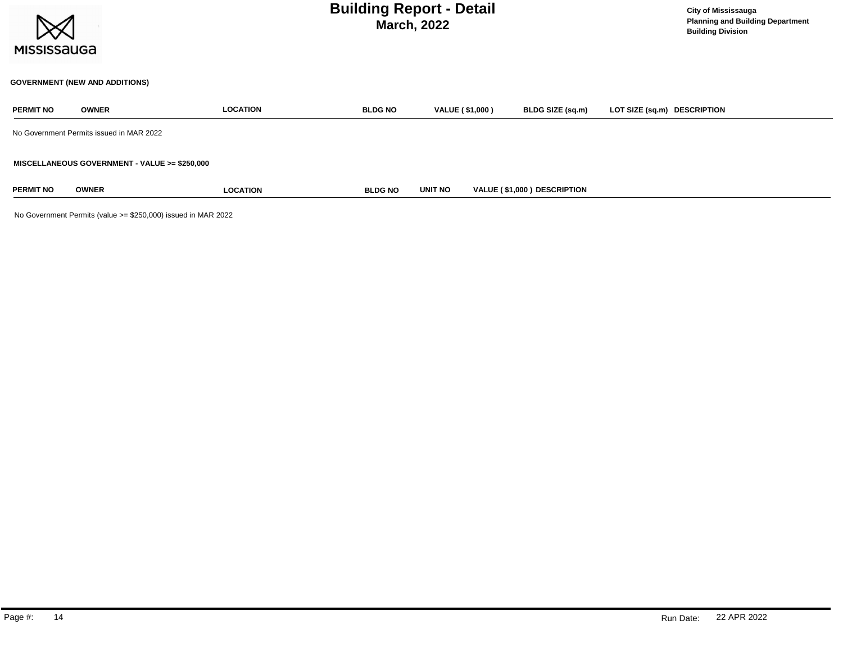| <b>MISSISSAUGA</b> |                                               | <b>Building Report - Detail</b><br><b>March, 2022</b> |                |                        |                             |                             |  |  |  |  |
|--------------------|-----------------------------------------------|-------------------------------------------------------|----------------|------------------------|-----------------------------|-----------------------------|--|--|--|--|
|                    | <b>GOVERNMENT (NEW AND ADDITIONS)</b>         |                                                       |                |                        |                             |                             |  |  |  |  |
| <b>PERMIT NO</b>   | <b>OWNER</b>                                  | <b>LOCATION</b>                                       | <b>BLDG NO</b> | <b>VALUE (\$1,000)</b> | BLDG SIZE (sq.m)            | LOT SIZE (sq.m) DESCRIPTION |  |  |  |  |
|                    | No Government Permits issued in MAR 2022      |                                                       |                |                        |                             |                             |  |  |  |  |
|                    | MISCELLANEOUS GOVERNMENT - VALUE >= \$250,000 |                                                       |                |                        |                             |                             |  |  |  |  |
| <b>PERMIT NO</b>   | <b>OWNER</b>                                  | <b>LOCATION</b>                                       | <b>BLDG NO</b> | UNIT NO                | VALUE (\$1,000) DESCRIPTION |                             |  |  |  |  |

No Government Permits (value >= \$250,000) issued in MAR 2022